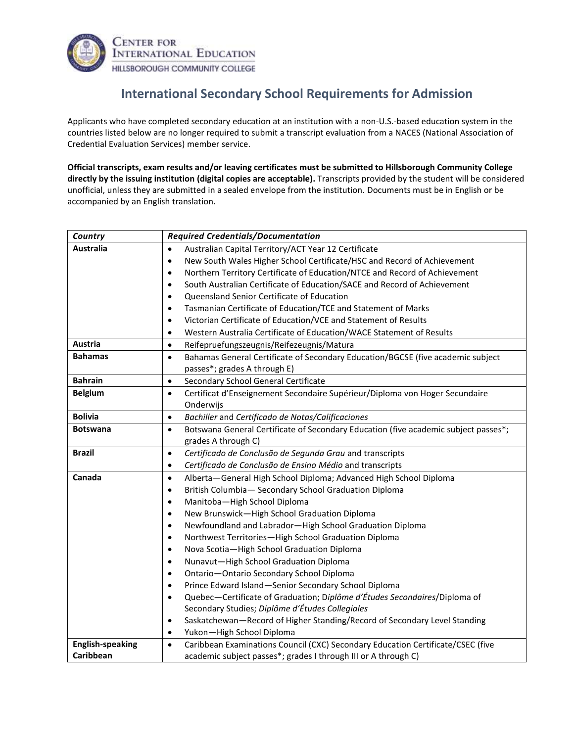

## **International Secondary School Requirements for Admission**

Applicants who have completed secondary education at an institution with a non-U.S.-based education system in the countries listed below are no longer required to submit a transcript evaluation from a NACES (National Association of Credential Evaluation Services) member service.

**Official transcripts, exam results and/or leaving certificates must be submitted to Hillsborough Community College directly by the issuing institution (digital copies are acceptable).** Transcripts provided by the student will be considered unofficial, unless they are submitted in a sealed envelope from the institution. Documents must be in English or be accompanied by an English translation.

| Country                 | <b>Required Credentials/Documentation</b>                                                                                    |
|-------------------------|------------------------------------------------------------------------------------------------------------------------------|
| <b>Australia</b>        | Australian Capital Territory/ACT Year 12 Certificate<br>$\bullet$                                                            |
|                         | New South Wales Higher School Certificate/HSC and Record of Achievement<br>$\bullet$                                         |
|                         | Northern Territory Certificate of Education/NTCE and Record of Achievement<br>$\bullet$                                      |
|                         | South Australian Certificate of Education/SACE and Record of Achievement<br>$\bullet$                                        |
|                         | Queensland Senior Certificate of Education<br>$\bullet$                                                                      |
|                         | Tasmanian Certificate of Education/TCE and Statement of Marks<br>$\bullet$                                                   |
|                         | Victorian Certificate of Education/VCE and Statement of Results<br>$\bullet$                                                 |
|                         | Western Australia Certificate of Education/WACE Statement of Results<br>$\bullet$                                            |
| <b>Austria</b>          | Reifepruefungszeugnis/Reifezeugnis/Matura<br>$\bullet$                                                                       |
| <b>Bahamas</b>          | Bahamas General Certificate of Secondary Education/BGCSE (five academic subject<br>$\bullet$<br>passes*; grades A through E) |
| <b>Bahrain</b>          | Secondary School General Certificate<br>$\bullet$                                                                            |
| <b>Belgium</b>          | Certificat d'Enseignement Secondaire Supérieur/Diploma von Hoger Secundaire<br>$\bullet$<br>Onderwijs                        |
| <b>Bolivia</b>          | Bachiller and Certificado de Notas/Calificaciones<br>$\bullet$                                                               |
| <b>Botswana</b>         | Botswana General Certificate of Secondary Education (five academic subject passes*;<br>$\bullet$<br>grades A through C)      |
| <b>Brazil</b>           | Certificado de Conclusão de Segunda Grau and transcripts<br>$\bullet$                                                        |
|                         | Certificado de Conclusão de Ensino Médio and transcripts<br>$\bullet$                                                        |
| Canada                  | Alberta-General High School Diploma; Advanced High School Diploma<br>$\bullet$                                               |
|                         | British Columbia-Secondary School Graduation Diploma<br>$\bullet$                                                            |
|                         | Manitoba-High School Diploma<br>$\bullet$                                                                                    |
|                         | New Brunswick-High School Graduation Diploma<br>$\bullet$                                                                    |
|                         | Newfoundland and Labrador-High School Graduation Diploma<br>$\bullet$                                                        |
|                         | Northwest Territories-High School Graduation Diploma<br>$\bullet$                                                            |
|                         | Nova Scotia-High School Graduation Diploma<br>$\bullet$                                                                      |
|                         | Nunavut-High School Graduation Diploma<br>$\bullet$                                                                          |
|                         | Ontario-Ontario Secondary School Diploma<br>$\bullet$                                                                        |
|                         | Prince Edward Island-Senior Secondary School Diploma<br>$\bullet$                                                            |
|                         | Quebec-Certificate of Graduation; Diplôme d'Études Secondaires/Diploma of<br>$\bullet$                                       |
|                         | Secondary Studies; Diplôme d'Études Collegiales                                                                              |
|                         | Saskatchewan-Record of Higher Standing/Record of Secondary Level Standing<br>$\bullet$                                       |
|                         | Yukon-High School Diploma<br>$\bullet$                                                                                       |
| <b>English-speaking</b> | Caribbean Examinations Council (CXC) Secondary Education Certificate/CSEC (five<br>$\bullet$                                 |
| Caribbean               | academic subject passes*; grades I through III or A through C)                                                               |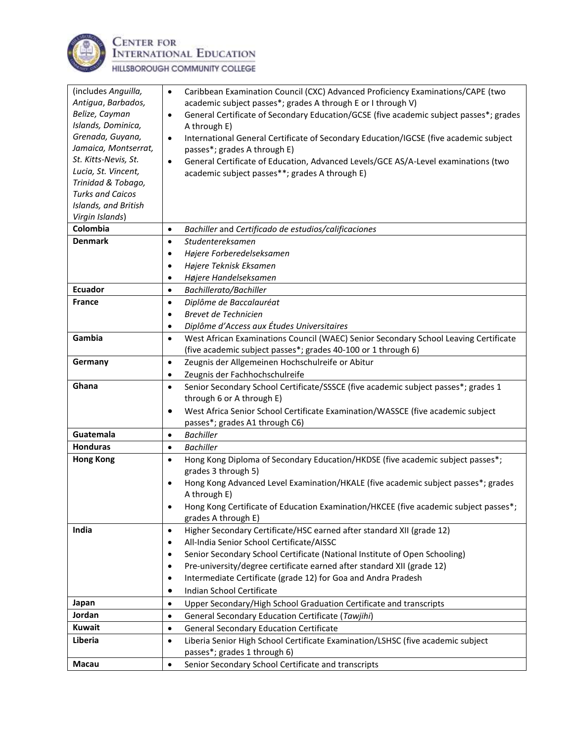

**CENTER FOR<br>INTERNATIONAL EDUCATION** 

HILLSBOROUGH COMMUNITY COLLEGE

| (includes Anguilla,          | Caribbean Examination Council (CXC) Advanced Proficiency Examinations/CAPE (two<br>$\bullet$                       |
|------------------------------|--------------------------------------------------------------------------------------------------------------------|
| Antigua, Barbados,           | academic subject passes*; grades A through E or I through V)                                                       |
| Belize, Cayman               | General Certificate of Secondary Education/GCSE (five academic subject passes*; grades<br>$\bullet$                |
| Islands, Dominica,           | A through E)                                                                                                       |
| Grenada, Guyana,             | International General Certificate of Secondary Education/IGCSE (five academic subject<br>$\bullet$                 |
| Jamaica, Montserrat,         | passes*; grades A through E)                                                                                       |
| St. Kitts-Nevis, St.         | General Certificate of Education, Advanced Levels/GCE AS/A-Level examinations (two<br>$\bullet$                    |
| Lucia, St. Vincent,          | academic subject passes**; grades A through E)                                                                     |
| Trinidad & Tobago,           |                                                                                                                    |
| <b>Turks and Caicos</b>      |                                                                                                                    |
| Islands, and British         |                                                                                                                    |
| Virgin Islands)<br>Colombia  |                                                                                                                    |
|                              | Bachiller and Certificado de estudios/calificaciones<br>$\bullet$                                                  |
| <b>Denmark</b>               | Studentereksamen<br>$\bullet$                                                                                      |
|                              | Højere Forberedelseksamen<br>$\bullet$                                                                             |
|                              | Højere Teknisk Eksamen                                                                                             |
|                              | Højere Handelseksamen<br>$\bullet$                                                                                 |
| <b>Ecuador</b>               | Bachillerato/Bachiller<br>$\bullet$                                                                                |
| <b>France</b>                | Diplôme de Baccalauréat<br>$\bullet$                                                                               |
|                              | Brevet de Technicien<br>$\bullet$                                                                                  |
|                              | Diplôme d'Access aux Études Universitaires<br>٠                                                                    |
| Gambia                       | West African Examinations Council (WAEC) Senior Secondary School Leaving Certificate<br>$\bullet$                  |
|                              | (five academic subject passes*; grades 40-100 or 1 through 6)                                                      |
| Germany                      | Zeugnis der Allgemeinen Hochschulreife or Abitur<br>$\bullet$                                                      |
|                              | Zeugnis der Fachhochschulreife<br>$\bullet$                                                                        |
| Ghana                        | Senior Secondary School Certificate/SSSCE (five academic subject passes*; grades 1<br>$\bullet$                    |
|                              | through 6 or A through E)                                                                                          |
|                              | West Africa Senior School Certificate Examination/WASSCE (five academic subject                                    |
|                              | passes*; grades A1 through C6)                                                                                     |
| Guatemala<br><b>Honduras</b> | <b>Bachiller</b><br>$\bullet$<br><b>Bachiller</b>                                                                  |
|                              | $\bullet$                                                                                                          |
| <b>Hong Kong</b>             | Hong Kong Diploma of Secondary Education/HKDSE (five academic subject passes*;<br>$\bullet$<br>grades 3 through 5) |
|                              |                                                                                                                    |
|                              | Hong Kong Advanced Level Examination/HKALE (five academic subject passes*; grades<br>A through E)                  |
|                              | Hong Kong Certificate of Education Examination/HKCEE (five academic subject passes*;                               |
|                              | grades A through E)                                                                                                |
| India                        | Higher Secondary Certificate/HSC earned after standard XII (grade 12)<br>$\bullet$                                 |
|                              | All-India Senior School Certificate/AISSC<br>$\bullet$                                                             |
|                              | Senior Secondary School Certificate (National Institute of Open Schooling)<br>$\bullet$                            |
|                              | Pre-university/degree certificate earned after standard XII (grade 12)<br>$\bullet$                                |
|                              | Intermediate Certificate (grade 12) for Goa and Andra Pradesh<br>٠                                                 |
|                              | Indian School Certificate<br>٠                                                                                     |
| Japan                        | Upper Secondary/High School Graduation Certificate and transcripts<br>$\bullet$                                    |
| Jordan                       |                                                                                                                    |
| <b>Kuwait</b>                | General Secondary Education Certificate (Tawjihi)<br>$\bullet$                                                     |
| Liberia                      | <b>General Secondary Education Certificate</b><br>$\bullet$                                                        |
|                              | Liberia Senior High School Certificate Examination/LSHSC (five academic subject<br>$\bullet$                       |
| Macau                        | passes*; grades 1 through 6)                                                                                       |
|                              | Senior Secondary School Certificate and transcripts<br>$\bullet$                                                   |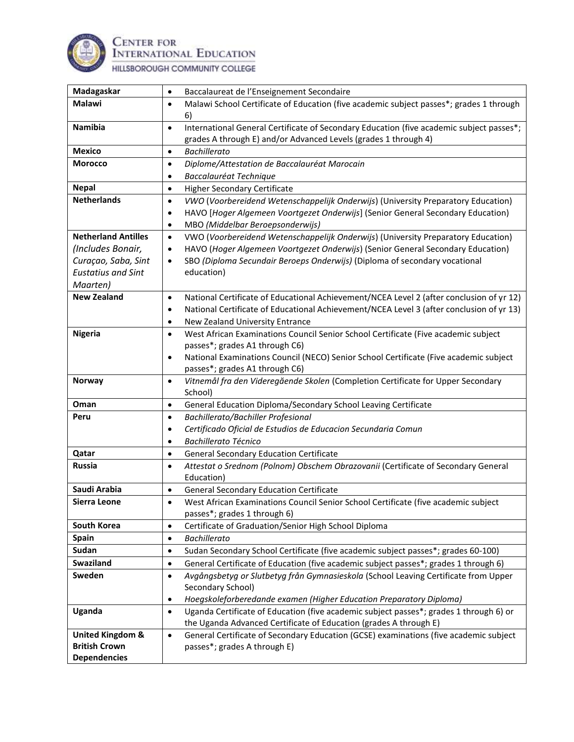

**CENTER FOR<br>INTERNATIONAL EDUCATION** 

HILLSBOROUGH COMMUNITY COLLEGE

| Madagaskar                                  | Baccalaureat de l'Enseignement Secondaire                                                             |
|---------------------------------------------|-------------------------------------------------------------------------------------------------------|
| Malawi                                      | Malawi School Certificate of Education (five academic subject passes*; grades 1 through<br>$\bullet$  |
|                                             | 6)                                                                                                    |
| Namibia                                     | International General Certificate of Secondary Education (five academic subject passes*;<br>$\bullet$ |
|                                             | grades A through E) and/or Advanced Levels (grades 1 through 4)                                       |
| <b>Mexico</b>                               | <b>Bachillerato</b><br>$\bullet$                                                                      |
| <b>Morocco</b>                              | Diplome/Attestation de Baccalauréat Marocain<br>$\bullet$                                             |
|                                             | Baccalauréat Technique<br>٠                                                                           |
| <b>Nepal</b>                                | Higher Secondary Certificate<br>$\bullet$                                                             |
| <b>Netherlands</b>                          | VWO (Voorbereidend Wetenschappelijk Onderwijs) (University Preparatory Education)<br>$\bullet$        |
|                                             | HAVO [Hoger Algemeen Voortgezet Onderwijs] (Senior General Secondary Education)<br>$\bullet$          |
|                                             | MBO (Middelbar Beroepsonderwijs)<br>$\bullet$                                                         |
| <b>Netherland Antilles</b>                  | VWO (Voorbereidend Wetenschappelijk Onderwijs) (University Preparatory Education)<br>$\bullet$        |
| (Includes Bonair,                           | HAVO (Hoger Algemeen Voortgezet Onderwijs) (Senior General Secondary Education)<br>$\bullet$          |
| Curaçao, Saba, Sint                         | SBO (Diploma Secundair Beroeps Onderwijs) (Diploma of secondary vocational<br>$\bullet$               |
| <b>Eustatius and Sint</b>                   | education)                                                                                            |
| Maarten)                                    |                                                                                                       |
| <b>New Zealand</b>                          | National Certificate of Educational Achievement/NCEA Level 2 (after conclusion of yr 12)<br>$\bullet$ |
|                                             | National Certificate of Educational Achievement/NCEA Level 3 (after conclusion of yr 13)<br>٠         |
|                                             | New Zealand University Entrance<br>٠                                                                  |
| <b>Nigeria</b>                              | West African Examinations Council Senior School Certificate (Five academic subject<br>$\bullet$       |
|                                             | passes*; grades A1 through C6)                                                                        |
|                                             | National Examinations Council (NECO) Senior School Certificate (Five academic subject<br>$\bullet$    |
|                                             | passes*; grades A1 through C6)                                                                        |
| <b>Norway</b>                               | Vitnemål fra den Videregående Skolen (Completion Certificate for Upper Secondary<br>$\bullet$         |
|                                             | School)                                                                                               |
|                                             |                                                                                                       |
| Oman                                        | General Education Diploma/Secondary School Leaving Certificate<br>$\bullet$                           |
| Peru                                        | Bachillerato/Bachiller Profesional<br>$\bullet$                                                       |
|                                             | Certificado Oficial de Estudios de Educacion Secundaria Comun<br>٠                                    |
|                                             | <b>Bachillerato Técnico</b><br>٠                                                                      |
| Qatar                                       | <b>General Secondary Education Certificate</b><br>$\bullet$                                           |
| <b>Russia</b>                               | Attestat o Srednom (Polnom) Obschem Obrazovanii (Certificate of Secondary General<br>$\bullet$        |
|                                             | Education)                                                                                            |
| Saudi Arabia                                | <b>General Secondary Education Certificate</b><br>$\bullet$                                           |
| Sierra Leone                                | West African Examinations Council Senior School Certificate (five academic subject<br>$\bullet$       |
|                                             | passes*; grades 1 through 6)                                                                          |
| South Korea                                 | Certificate of Graduation/Senior High School Diploma<br>$\bullet$                                     |
| <b>Spain</b>                                | <b>Bachillerato</b><br>$\bullet$                                                                      |
| Sudan                                       | Sudan Secondary School Certificate (five academic subject passes*; grades 60-100)<br>$\bullet$        |
| Swaziland                                   | General Certificate of Education (five academic subject passes*; grades 1 through 6)<br>$\bullet$     |
| Sweden                                      | Avgångsbetyg or Slutbetyg från Gymnasieskola (School Leaving Certificate from Upper<br>$\bullet$      |
|                                             | Secondary School)                                                                                     |
|                                             | Hoegskoleforberedande examen (Higher Education Preparatory Diploma)<br>٠                              |
| Uganda                                      | Uganda Certificate of Education (five academic subject passes*; grades 1 through 6) or<br>$\bullet$   |
|                                             | the Uganda Advanced Certificate of Education (grades A through E)                                     |
| <b>United Kingdom &amp;</b>                 | General Certificate of Secondary Education (GCSE) examinations (five academic subject<br>$\bullet$    |
| <b>British Crown</b><br><b>Dependencies</b> | passes*; grades A through E)                                                                          |